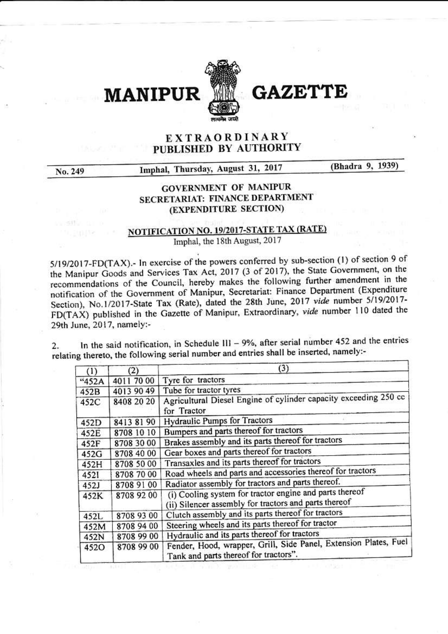

**MANIPUR** 

## **GAZET**

## EXTRAORDINARY PUBLISHED BY AUTHORITY

No. 249

Imphal, Thursday, August 31, 2017

(Bhadra 9, 1939)

## **GOVERNMENT OF MANIPUR** SECRETARIAT: FINANCE DEPARTMENT (EXPENDITURE SECTION)

## NOTIFICATION NO. 19/2017-STATE TAX (RATE) Imphal, the 18th August, 2017

5/19/2017-FD(TAX).- In exercise of the powers conferred by sub-section (1) of section 9 of the Manipur Goods and Services Tax Act, 2017 (3 of 2017), the State Government, on the recommendations of the Council, hereby makes the following further amendment in the notification of the Government of Manipur, Secretariat: Finance Department (Expenditure Section), No.1/2017-State Tax (Rate), dated the 28th June, 2017 vide number 5/19/2017-FD(TAX) published in the Gazette of Manipur, Extraordinary, vide number 110 dated the 29th June, 2017, namely:-

In the said notification, in Schedule III -  $9\%$ , after serial number 452 and the entries  $\overline{2}$ . relating thereto, the following serial number and entries shall be inserted, namely:-

| (1)   | (2)        | (3)                                                                                                              |
|-------|------------|------------------------------------------------------------------------------------------------------------------|
| "452A | 4011 70 00 | Tyre for tractors                                                                                                |
| 452B  | 4013 90 49 | Tube for tractor tyres                                                                                           |
| 452C  | 8408 20 20 | Agricultural Diesel Engine of cylinder capacity exceeding 250 cc<br>for Tractor                                  |
| 452D  | 84138190   | Hydraulic Pumps for Tractors                                                                                     |
| 452E  | 8708 10 10 | Bumpers and parts thereof for tractors                                                                           |
| 452F  | 8708 30 00 | Brakes assembly and its parts thereof for tractors                                                               |
| 452G  | 8708 40 00 | Gear boxes and parts thereof for tractors                                                                        |
| 452H  | 8708 50 00 | Transaxles and its parts thereof for tractors                                                                    |
| 4521  | 8708 70 00 | Road wheels and parts and accessories thereof for tractors                                                       |
| 452J  | 8708 91 00 | Radiator assembly for tractors and parts thereof.                                                                |
| 452K  | 8708 92 00 | (i) Cooling system for tractor engine and parts thereof<br>(ii) Silencer assembly for tractors and parts thereof |
| 452L  | 8708 93 00 | Clutch assembly and its parts thereof for tractors                                                               |
| 452M  | 8708 94 00 | Steering wheels and its parts thereof for tractor                                                                |
| 452N  | 8708 99 00 | Hydraulic and its parts thereof for tractors                                                                     |
| 452O  | 8708 99 00 | Fender, Hood, wrapper, Grill, Side Panel, Extension Plates, Fuel<br>Tank and parts thereof for tractors".        |